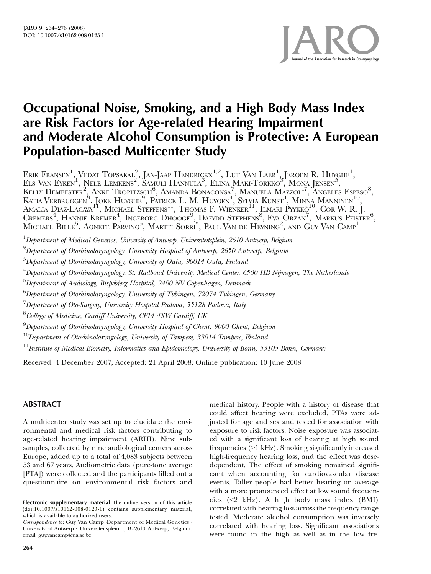

# Occupational Noise, Smoking, and a High Body Mass Index are Risk Factors for Age-related Hearing Impairment and Moderate Alcohol Consumption is Protective: A European Population-based Multicenter Study

ERIK FRANSEN<sup>1</sup>, VEDAT TOPSAKAL<sup>2</sup>, JAN-JAAP HENDRICKX<sup>1,2</sup>, LUT VAN LAER<sup>1</sup>, JEROEN R. HUYGHE<sup>1</sup>, ELS VAN EYKEN<sup>1</sup>, NELE LEMKENS<sup>2</sup>, SAMULI HANNULA<sup>3</sup>, ELINA MÄKI-TORKKO<sup>3</sup>, MONA JENSEN<sup>5</sup>, KELLY DEMEESTER<sup>2</sup>, ANKE TROPITZSCH<sup>6</sup>, AMANDA BONACONSA<sup>7</sup>, MANUELA MAZZOLI<sup>7</sup>, ANGELES ESPESO<sup>8</sup>, KATIA VERBRUGGEN<sup>9</sup>, JOKE HUYGHE<sup>9</sup>, PATRICK L. M. HUYGEN<sup>4</sup>, SYLVIA KUNST<sup>4</sup>, MINNA MANNINEN<sup>10</sup>, AMALIA DIAZ-LACAVA<sup>11</sup>, MICHAEL STEFFENS<sup>11</sup>, THOMAS F. WIENKER<sup>11</sup>, ILMARI PYYKKÖ<sup>10</sup>, COR W. R. J. CREMERS<sup>4</sup>, HANNIE KREMER<sup>4</sup>, INGEBORG DHOOGE<sup>9</sup>, DAFYDD STEPHENS<sup>8</sup>, EVA ORZAN<sup>7</sup>, MARKUS PFISTER<sup>6</sup>, MICHAEL BILLE<sup>5</sup>, AGNETE PARVING<sup>5</sup>, MARTTI SORRI<sup>3</sup>, PAUL VAN DE HEYNING<sup>2</sup>, AND GUY VAN CAMP<sup>1</sup>

 $^1$ Department of Medical Genetics, University of Antwerp, Universiteitsplein, 2610 Antwerp, Belgium

 $^2$ Department of Otorhinolaryngology, University Hospital of Antwerp, 2650 Antwerp, Belgium

 $^3$ Department of Otorhinolaryngology, University of Oulu, 90014 Oulu, Finland

 $^4$ Department of Otorhinolaryngology, St. Radboud University Medical Center, 6500 HB Nijmegen, The Netherlands

 $^5$ Department of Audiology, Bispebjerg Hospital, 2400 NV Copenhagen, Denmark

 $^6$ Department of Otorhinolaryngology, University of Tübingen, 72074 Tübingen, Germany

 $^7$ Department of Oto-Surgery, University Hospital Padova, 35128 Padova, Italy

<sup>8</sup>College of Medicine, Cardiff University, CF14 4XW Cardiff, UK

 $^9$ Department of Otorhinolaryngology, University Hospital of Ghent, 9000 Ghent, Belgium

 $10$ Department of Otorhinolaryngology, University of Tampere, 33014 Tampere, Finland

 $11$ Institute of Medical Biometry, Informatics and Epidemiology, University of Bonn, 53105 Bonn, Germany

Received: 4 December 2007; Accepted: 21 April 2008; Online publication: 10 June 2008

# ABSTRACT

A multicenter study was set up to elucidate the environmental and medical risk factors contributing to age-related hearing impairment (ARHI). Nine subsamples, collected by nine audiological centers across Europe, added up to a total of 4,083 subjects between 53 and 67 years. Audiometric data (pure-tone average [PTA]) were collected and the participants filled out a questionnaire on environmental risk factors and

medical history. People with a history of disease that could affect hearing were excluded. PTAs were adjusted for age and sex and tested for association with exposure to risk factors. Noise exposure was associated with a significant loss of hearing at high sound frequencies (91 kHz). Smoking significantly increased high-frequency hearing loss, and the effect was dosedependent. The effect of smoking remained significant when accounting for cardiovascular disease events. Taller people had better hearing on average with a more pronounced effect at low sound frequencies  $(\leq 2 \text{ kHz})$ . A high body mass index  $(BMI)$ correlated with hearing loss across the frequency range tested. Moderate alcohol consumption was inversely correlated with hearing loss. Significant associations were found in the high as well as in the low fre-

Electronic supplementary material The online version of this article (doi:[10.1007/s10162-008-0123-1](http://dx.doi.org/10.1007/s10162-008-0123-1)) contains supplementary material, which is available to authorized users.

Correspondence to: Guy Van Camp · Department of Medical Genetics · University of Antwerp · Universiteitsplein 1, B-2610 Antwerp, Belgium. email: guy.vancamp@ua.ac.be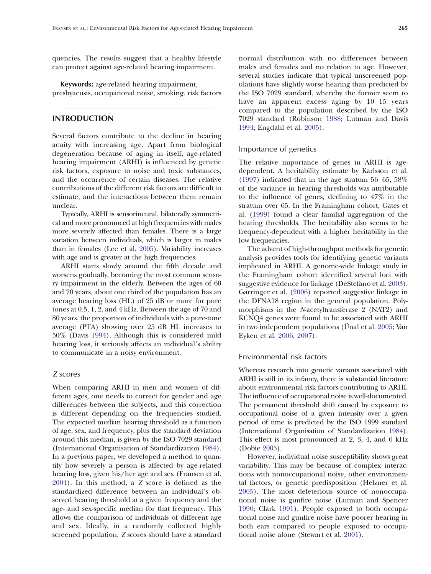quencies. The results suggest that a healthy lifestyle can protect against age-related hearing impairment.

Keywords: age-related hearing impairment, presbyacusis, occupational noise, smoking, risk factors

# INTRODUCTION

Several factors contribute to the decline in hearing acuity with increasing age. Apart from biological degeneration because of aging in itself, age-related hearing impairment (ARHI) is influenced by genetic risk factors, exposure to noise and toxic substances, and the occurrence of certain diseases. The relative contributions of the different risk factors are difficult to estimate, and the interactions between them remain unclear.

Typically, ARHI is sensorineural, bilaterally symmetrical and more pronounced at high frequencies with males more severely affected than females. There is a large variation between individuals, which is larger in males than in females (Lee et al. [2005\)](#page-12-0). Variability increases with age and is greater at the high frequencies.

ARHI starts slowly around the fifth decade and worsens gradually, becoming the most common sensory impairment in the elderly. Between the ages of 60 and 70 years, about one third of the population has an average hearing loss (HL) of 25 dB or more for pure tones at 0.5, 1, 2, and 4 kHz. Between the age of 70 and 80 years, the proportion of individuals with a pure-tone average (PTA) showing over 25 dB HL increases to 50% (Davis [1994](#page-11-0)). Although this is considered mild hearing loss, it seriously affects an individual's ability to communicate in a noisy environment.

#### Z scores

When comparing ARHI in men and women of different ages, one needs to correct for gender and age differences between the subjects, and this correction is different depending on the frequencies studied. The expected median hearing threshold as a function of age, sex, and frequency, plus the standard deviation around this median, is given by the ISO 7029 standard (International Organisation of Standardization [1984](#page-11-0)). In a previous paper, we developed a method to quantify how severely a person is affected by age-related hearing loss, given his/her age and sex (Fransen et al. [2004](#page-11-0)). In this method, a Z score is defined as the standardized difference between an individual's observed hearing threshold at a given frequency and the age- and sex-specific median for that frequency. This allows the comparison of individuals of different age and sex. Ideally, in a randomly collected highly screened population, Z scores should have a standard normal distribution with no differences between males and females and no relation to age. However, several studies indicate that typical unscreened populations have slightly worse hearing than predicted by the ISO 7029 standard, whereby the former seem to have an apparent excess aging by 10–15 years compared to the population described by the ISO 7029 standard (Robinson [1988;](#page-12-0) Lutman and Davis [1994](#page-12-0); Engdahl et al. [2005\)](#page-11-0).

#### Importance of genetics

The relative importance of genes in ARHI is agedependent. A heritability estimate by Karlsson et al. [\(1997\)](#page-12-0) indicated that in the age stratum 56–65, 58% of the variance in hearing thresholds was attributable to the influence of genes, declining to 47% in the stratum over 65. In the Framingham cohort, Gates et al. [\(1999](#page-11-0)) found a clear familial aggregation of the hearing thresholds. The heritability also seems to be frequency-dependent with a higher heritability in the low frequencies.

The advent of high-throughput methods for genetic analysis provides tools for identifying genetic variants implicated in ARHI. A genome-wide linkage study in the Framingham cohort identified several loci with suggestive evidence for linkage (DeStefano et al. [2003](#page-11-0)). Garringer et al. ([2006](#page-11-0)) reported suggestive linkage in the DFNA18 region in the general population. Polymorphisms in the N-acetyltransferase 2 (NAT2) and KCNQ4 genes were found to be associated with ARHI in two independent populations (Ünal et al. [2005](#page-12-0); Van Eyken et al. [2006,](#page-12-0) [2007\)](#page-12-0).

# Environmental risk factors

Whereas research into genetic variants associated with ARHI is still in its infancy, there is substantial literature about environmental risk factors contributing to ARHI. The influence of occupational noise is well-documented. The permanent threshold shift caused by exposure to occupational noise of a given intensity over a given period of time is predicted by the ISO 1999 standard (International Organisation of Standardization [1984](#page-11-0)). This effect is most pronounced at 2, 3, 4, and 6 kHz (Dobie [2005\)](#page-11-0).

However, individual noise susceptibility shows great variability. This may be because of complex interactions with nonoccupational noise, other environmental factors, or genetic predisposition (Helzner et al. [2005](#page-11-0)). The most deleterious source of nonoccupational noise is gunfire noise (Lutman and Spencer [1990](#page-12-0); Clark [1991\)](#page-11-0). People exposed to both occupational noise and gunfire noise have poorer hearing in both ears compared to people exposed to occupational noise alone (Stewart et al. [2001](#page-12-0)).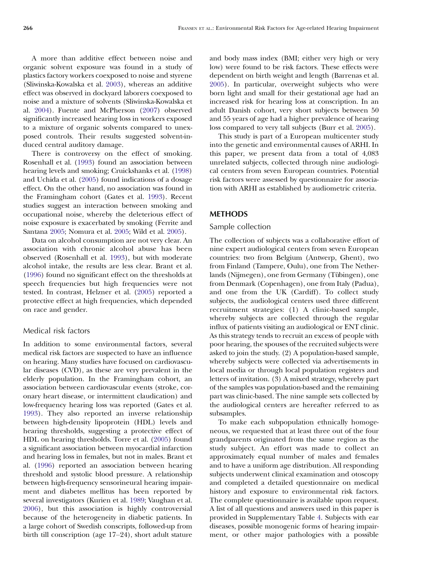A more than additive effect between noise and organic solvent exposure was found in a study of plastics factory workers coexposed to noise and styrene (Sliwinska-Kowalska et al. [2003](#page-12-0)), whereas an additive effect was observed in dockyard laborers coexposed to noise and a mixture of solvents (Sliwinska-Kowalska et al. [2004\)](#page-12-0). Fuente and McPherson [\(2007\)](#page-11-0) observed significantly increased hearing loss in workers exposed to a mixture of organic solvents compared to unexposed controls. Their results suggested solvent-induced central auditory damage.

There is controversy on the effect of smoking. Rosenhall et al. ([1993\)](#page-12-0) found an association between hearing levels and smoking; Cruickshanks et al. ([1998\)](#page-11-0) and Uchida et al. [\(2005](#page-12-0)) found indications of a dosage effect. On the other hand, no association was found in the Framingham cohort (Gates et al. [1993\)](#page-11-0). Recent studies suggest an interaction between smoking and occupational noise, whereby the deleterious effect of noise exposure is exacerbated by smoking (Ferrite and Santana [2005;](#page-11-0) Nomura et al. [2005;](#page-12-0) Wild et al. [2005](#page-12-0)).

Data on alcohol consumption are not very clear. An association with chronic alcohol abuse has been observed (Rosenhall et al. [1993\)](#page-12-0), but with moderate alcohol intake, the results are less clear. Brant et al. [\(1996\)](#page-11-0) found no significant effect on the thresholds at speech frequencies but high frequencies were not tested. In contrast, Helzner et al. [\(2005](#page-11-0)) reported a protective effect at high frequencies, which depended on race and gender.

# Medical risk factors

In addition to some environmental factors, several medical risk factors are suspected to have an influence on hearing. Many studies have focused on cardiovascular diseases (CVD), as these are very prevalent in the elderly population. In the Framingham cohort, an association between cardiovascular events (stroke, coronary heart disease, or intermittent claudication) and low-frequency hearing loss was reported (Gates et al. [1993](#page-11-0)). They also reported an inverse relationship between high-density lipoprotein (HDL) levels and hearing thresholds, suggesting a protective effect of HDL on hearing thresholds. Torre et al. ([2005\)](#page-12-0) found a significant association between myocardial infarction and hearing loss in females, but not in males. Brant et al. [\(1996](#page-11-0)) reported an association between hearing threshold and systolic blood pressure. A relationship between high-frequency sensorineural hearing impairment and diabetes mellitus has been reported by several investigators (Kurien et al. [1989;](#page-12-0) Vaughan et al. [2006](#page-12-0)), but this association is highly controversial because of the heterogeneity in diabetic patients. In a large cohort of Swedish conscripts, followed-up from birth till conscription (age 17–24), short adult stature

and body mass index (BMI; either very high or very low) were found to be risk factors. These effects were dependent on birth weight and length (Barrenas et al. [2005](#page-11-0)). In particular, overweight subjects who were born light and small for their gestational age had an increased risk for hearing loss at conscription. In an adult Danish cohort, very short subjects between 50 and 55 years of age had a higher prevalence of hearing loss compared to very tall subjects (Burr et al. [2005\)](#page-11-0).

This study is part of a European multicenter study into the genetic and environmental causes of ARHI. In this paper, we present data from a total of 4,083 unrelated subjects, collected through nine audiological centers from seven European countries. Potential risk factors were assessed by questionnaire for association with ARHI as established by audiometric criteria.

# METHODS

## Sample collection

The collection of subjects was a collaborative effort of nine expert audiological centers from seven European countries: two from Belgium (Antwerp, Ghent), two from Finland (Tampere, Oulu), one from The Netherlands (Nijmegen), one from Germany (Tübingen), one from Denmark (Copenhagen), one from Italy (Padua), and one from the UK (Cardiff). To collect study subjects, the audiological centers used three different recruitment strategies: (1) A clinic-based sample, whereby subjects are collected through the regular influx of patients visiting an audiological or ENT clinic. As this strategy tends to recruit an excess of people with poor hearing, the spouses of the recruited subjects were asked to join the study. (2) A population-based sample, whereby subjects were collected via advertisements in local media or through local population registers and letters of invitation. (3) A mixed strategy, whereby part of the samples was population-based and the remaining part was clinic-based. The nine sample sets collected by the audiological centers are hereafter referred to as subsamples.

To make each subpopulation ethnically homogeneous, we requested that at least three out of the four grandparents originated from the same region as the study subject. An effort was made to collect an approximately equal number of males and females and to have a uniform age distribution. All responding subjects underwent clinical examination and otoscopy and completed a detailed questionnaire on medical history and exposure to environmental risk factors. The complete questionnaire is available upon request. A list of all questions and answers used in this paper is provided in Supplementary Table 4. Subjects with ear diseases, possible monogenic forms of hearing impairment, or other major pathologies with a possible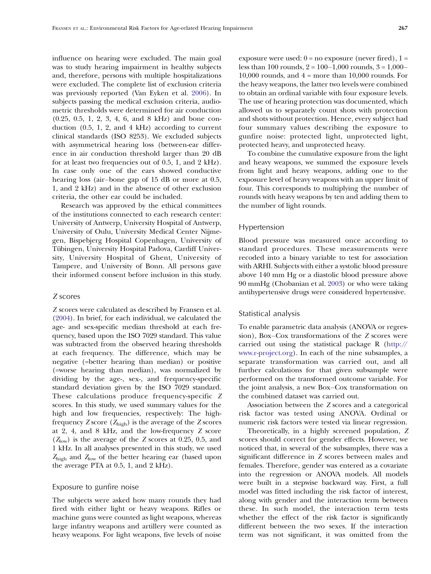influence on hearing were excluded. The main goal was to study hearing impairment in healthy subjects and, therefore, persons with multiple hospitalizations were excluded. The complete list of exclusion criteria was previously reported (Van Eyken et al. [2006](#page-12-0)). In subjects passing the medical exclusion criteria, audiometric thresholds were determined for air conduction (0.25, 0.5, 1, 2, 3, 4, 6, and 8 kHz) and bone conduction (0.5, 1, 2, and 4 kHz) according to current clinical standards (ISO 8253). We excluded subjects with asymmetrical hearing loss (between-ear difference in air conduction threshold larger than 20 dB for at least two frequencies out of 0.5, 1, and 2 kHz). In case only one of the ears showed conductive hearing loss (air–bone gap of 15 dB or more at 0.5, 1, and 2 kHz) and in the absence of other exclusion criteria, the other ear could be included.

Research was approved by the ethical committees of the institutions connected to each research center: University of Antwerp, University Hospital of Antwerp, University of Oulu, University Medical Center Nijmegen, Bispebjerg Hospital Copenhagen, University of Tübingen, University Hospital Padova, Cardiff University, University Hospital of Ghent, University of Tampere, and University of Bonn. All persons gave their informed consent before inclusion in this study.

#### Z scores

Z scores were calculated as described by Fransen et al. [\(2004](#page-11-0)). In brief, for each individual, we calculated the age- and sex-specific median threshold at each frequency, based upon the ISO 7029 standard. This value was subtracted from the observed hearing thresholds at each frequency. The difference, which may be negative (=better hearing than median) or positive (=worse hearing than median), was normalized by dividing by the age-, sex-, and frequency-specific standard deviation given by the ISO 7029 standard. These calculations produce frequency-specific Z scores. In this study, we used summary values for the high and low frequencies, respectively: The highfrequency  $Z$  score  $(Z_{\text{high}})$  is the average of the  $Z$  scores at 2, 4, and 8 kHz, and the low-frequency Z score  $(Z<sub>low</sub>)$  is the average of the Z scores at 0.25, 0.5, and 1 kHz. In all analyses presented in this study, we used  $Z_{\text{high}}$  and  $Z_{\text{low}}$  of the better hearing ear (based upon the average PTA at 0.5, 1, and 2 kHz).

## Exposure to gunfire noise

The subjects were asked how many rounds they had fired with either light or heavy weapons. Rifles or machine guns were counted as light weapons, whereas large infantry weapons and artillery were counted as heavy weapons. For light weapons, five levels of noise exposure were used:  $0 = no$  exposure (never fired),  $1 =$ less than 100 rounds,  $2 = 100-1,000$  rounds,  $3 = 1,000-1$ 10,000 rounds, and  $4 = more than 10,000 rounds. For$ the heavy weapons, the latter two levels were combined to obtain an ordinal variable with four exposure levels. The use of hearing protection was documented, which allowed us to separately count shots with protection and shots without protection. Hence, every subject had four summary values describing the exposure to gunfire noise: protected light, unprotected light, protected heavy, and unprotected heavy.

To combine the cumulative exposure from the light and heavy weapons, we summed the exposure levels from light and heavy weapons, adding one to the exposure level of heavy weapons with an upper limit of four. This corresponds to multiplying the number of rounds with heavy weapons by ten and adding them to the number of light rounds.

## Hypertension

Blood pressure was measured once according to standard procedures. These measurements were recoded into a binary variable to test for association with ARHI. Subjects with either a systolic blood pressure above 140 mm Hg or a diastolic blood pressure above 90 mmHg (Chobanian et al. [2003\)](#page-11-0) or who were taking antihypertensive drugs were considered hypertensive.

### Statistical analysis

To enable parametric data analysis (ANOVA or regression), Box–Cox transformations of the Z scores were carried out using the statistical package R ([http://](http://www.r-project.org) [www.r-project.org](http://www.r-project.org)). In each of the nine subsamples, a separate transformation was carried out, and all further calculations for that given subsample were performed on the transformed outcome variable. For the joint analysis, a new Box–Cox transformation on the combined dataset was carried out.

Association between the Z scores and a categorical risk factor was tested using ANOVA. Ordinal or numeric risk factors were tested via linear regression.

Theoretically, in a highly screened population, Z scores should correct for gender effects. However, we noticed that, in several of the subsamples, there was a significant difference in Z scores between males and females. Therefore, gender was entered as a covariate into the regression or ANOVA models. All models were built in a stepwise backward way. First, a full model was fitted including the risk factor of interest, along with gender and the interaction term between these. In such model, the interaction term tests whether the effect of the risk factor is significantly different between the two sexes. If the interaction term was not significant, it was omitted from the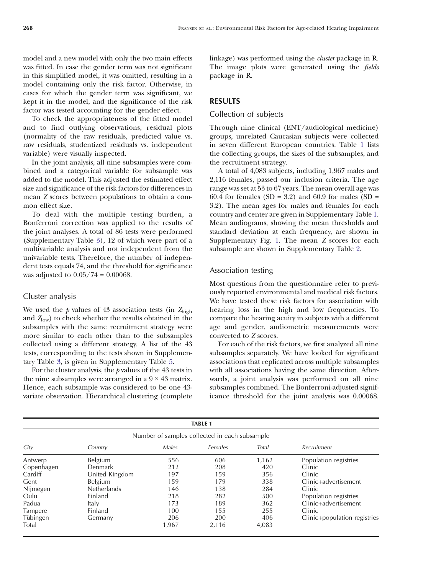<span id="page-4-0"></span>model and a new model with only the two main effects was fitted. In case the gender term was not significant in this simplified model, it was omitted, resulting in a model containing only the risk factor. Otherwise, in cases for which the gender term was significant, we kept it in the model, and the significance of the risk factor was tested accounting for the gender effect.

To check the appropriateness of the fitted model and to find outlying observations, residual plots (normality of the raw residuals, predicted value vs. raw residuals, studentized residuals vs. independent variable) were visually inspected.

In the joint analysis, all nine subsamples were combined and a categorical variable for subsample was added to the model. This adjusted the estimated effect size and significance of the risk factors for differences in mean Z scores between populations to obtain a common effect size.

To deal with the multiple testing burden, a Bonferroni correction was applied to the results of the joint analyses. A total of 86 tests were performed (Supplementary Table 3), 12 of which were part of a multivariable analysis and not independent from the univariable tests. Therefore, the number of independent tests equals 74, and the threshold for significance was adjusted to  $0.05/74 = 0.00068$ .

## Cluster analysis

We used the  $p$  values of 43 association tests (in  $Z_{\text{high}}$ ) and  $Z_{\text{low}}$ ) to check whether the results obtained in the subsamples with the same recruitment strategy were more similar to each other than to the subsamples collected using a different strategy. A list of the 43 tests, corresponding to the tests shown in Supplementary Table 3, is given in Supplementary Table 5.

For the cluster analysis, the  $p$  values of the 43 tests in the nine subsamples were arranged in a  $9 \times 43$  matrix. Hence, each subsample was considered to be one 43 variate observation. Hierarchical clustering (complete

linkage) was performed using the *cluster* package in R. The image plots were generated using the *fields* package in R.

# RESULTS

## Collection of subjects

Through nine clinical (ENT/audiological medicine) groups, unrelated Caucasian subjects were collected in seven different European countries. Table 1 lists the collecting groups, the sizes of the subsamples, and the recruitment strategy.

A total of 4,083 subjects, including 1,967 males and 2,116 females, passed our inclusion criteria. The age range was set at 53 to 67 years. The mean overall age was 60.4 for females  $(SD = 3.2)$  and 60.9 for males  $(SD = 3.2)$ 3.2). The mean ages for males and females for each country and center are given in Supplementary Table 1. Mean audiograms, showing the mean thresholds and standard deviation at each frequency, are shown in Supplementary Fig. 1. The mean Z scores for each subsample are shown in Supplementary Table 2.

## Association testing

Most questions from the questionnaire refer to previously reported environmental and medical risk factors. We have tested these risk factors for association with hearing loss in the high and low frequencies. To compare the hearing acuity in subjects with a different age and gender, audiometric measurements were converted to Z scores.

For each of the risk factors, we first analyzed all nine subsamples separately. We have looked for significant associations that replicated across multiple subsamples with all associations having the same direction. Afterwards, a joint analysis was performed on all nine subsamples combined. The Bonferroni-adjusted significance threshold for the joint analysis was 0.00068.

| <b>TABLE 1</b>                                |                    |       |         |       |                              |  |  |
|-----------------------------------------------|--------------------|-------|---------|-------|------------------------------|--|--|
| Number of samples collected in each subsample |                    |       |         |       |                              |  |  |
| City                                          | Country            | Males | Females | Total | Recruitment                  |  |  |
| Antwerp                                       | Belgium            | 556   | 606     | 1,162 | Population registries        |  |  |
| Copenhagen                                    | <b>Denmark</b>     | 212   | 208     | 420   | Clinic                       |  |  |
| Cardiff                                       | United Kingdom     | 197   | 159     | 356   | Clinic                       |  |  |
| Gent                                          | Belgium            | 159   | 179     | 338   | Clinic+advertisement         |  |  |
| Nijmegen                                      | <b>Netherlands</b> | 146   | 138     | 284   | Clinic                       |  |  |
| Oulu                                          | Finland            | 218   | 282     | 500   | Population registries        |  |  |
| Padua                                         | Italy              | 173   | 189     | 362   | Clinic+advertisement         |  |  |
| Tampere                                       | Finland            | 100   | 155     | 255   | Clinic                       |  |  |
| Tübingen                                      | Germany            | 206   | 200     | 406   | Clinic+population registries |  |  |
| Total                                         |                    | 1,967 | 2,116   | 4,083 |                              |  |  |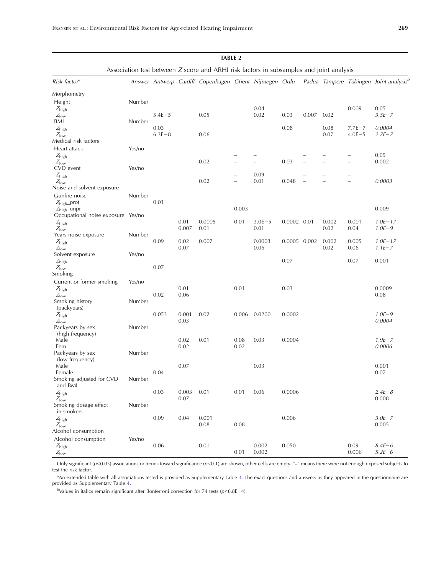<span id="page-5-0"></span>

| <b>TABLE 2</b><br>Association test between Z score and ARHI risk factors in subsamples and joint analysis |        |                    |       |                                                       |       |                          |               |       |                          |                          |                                                    |
|-----------------------------------------------------------------------------------------------------------|--------|--------------------|-------|-------------------------------------------------------|-------|--------------------------|---------------|-------|--------------------------|--------------------------|----------------------------------------------------|
|                                                                                                           |        |                    |       |                                                       |       |                          |               |       |                          |                          |                                                    |
| Risk factor <sup>a</sup>                                                                                  |        |                    |       | Answer Antwerp Cardiff Copenhagen Ghent Nijmegen Oulu |       |                          |               |       |                          |                          | Padua Tampere Tübingen Joint analysis <sup>t</sup> |
| Morphometry                                                                                               |        |                    |       |                                                       |       |                          |               |       |                          |                          |                                                    |
| Height                                                                                                    | Number |                    |       |                                                       |       |                          |               |       |                          |                          |                                                    |
| $Z_{\text{high}}$                                                                                         |        |                    |       |                                                       |       | 0.04                     |               |       |                          | 0.009                    | 0.05                                               |
| $Z_{\text{low}}$                                                                                          |        | $5.4E - 5$         |       | 0.05                                                  |       | 0.02                     | 0.03          | 0.007 | 0.02                     |                          | $3.5E - 7$                                         |
| BMI                                                                                                       | Number |                    |       |                                                       |       |                          |               |       |                          |                          |                                                    |
| $Z_{\text{high}}$                                                                                         |        | 0.03<br>$6.3E - 8$ |       |                                                       |       |                          | 0.08          |       | 0.08                     | $7.7E - 7$<br>$4.0E - 5$ | 0.0004<br>$2.7E - 7$                               |
| $Z_{\text{low}}$<br>Medical risk factors                                                                  |        |                    |       | 0.06                                                  |       |                          |               |       | 0.07                     |                          |                                                    |
| Heart attack                                                                                              | Yes/no |                    |       |                                                       |       |                          |               |       |                          |                          |                                                    |
| $Z_{\text{high}}$                                                                                         |        |                    |       |                                                       |       |                          |               |       |                          |                          | 0.05                                               |
| $Z_{\text{low}}$                                                                                          |        |                    |       | 0.02                                                  |       | $\overline{\phantom{0}}$ | 0.03          |       | $\overline{\phantom{0}}$ | $\overline{\phantom{m}}$ | 0.002                                              |
| CVD event                                                                                                 | Yes/no |                    |       |                                                       |       |                          |               |       |                          |                          |                                                    |
| $Z_{\text{high}}$                                                                                         |        |                    |       |                                                       |       | 0.09                     |               |       |                          | $\qquad \qquad$          |                                                    |
| $Z_{\text{low}}$                                                                                          |        |                    |       | 0.02                                                  |       | 0.01                     | 0.048         |       |                          |                          | 0.0003                                             |
| Noise and solvent exposure                                                                                |        |                    |       |                                                       |       |                          |               |       |                          |                          |                                                    |
| Gunfire noise                                                                                             | Number |                    |       |                                                       |       |                          |               |       |                          |                          |                                                    |
| $Z_{\text{high\_prot}}$                                                                                   |        | 0.01               |       |                                                       |       |                          |               |       |                          |                          |                                                    |
| $Z_{\text{high\_unpr}}$<br>Occupational noise exposure Yes/no                                             |        |                    |       |                                                       | 0.003 |                          |               |       |                          |                          | 0.009                                              |
| $Z_{\text{high}}$                                                                                         |        |                    | 0.01  | 0.0005                                                | 0.01  | $3.0E - 5$               | $0.0002$ 0.01 |       | 0.002                    | 0.001                    | $1.0E - 17$                                        |
| $Z_{\text{low}}$                                                                                          |        |                    | 0.007 | 0.01                                                  |       | 0.01                     |               |       | 0.02                     | 0.04                     | $1.0E - 9$                                         |
| Years noise exposure                                                                                      | Number |                    |       |                                                       |       |                          |               |       |                          |                          |                                                    |
| $Z_{\text{high}}$                                                                                         |        | 0.09               | 0.02  | 0.007                                                 |       | 0.0003                   | 0.0005 0.002  |       | 0.002                    | 0.005                    | $1.0E - 17$                                        |
| $Z_{\text{low}}$                                                                                          |        |                    | 0.07  |                                                       |       | 0.06                     |               |       | 0.02                     | 0.06                     | $1.1E - 7$                                         |
| Solvent exposure                                                                                          | Yes/no |                    |       |                                                       |       |                          |               |       |                          |                          |                                                    |
| $Z_{\text{high}}$                                                                                         |        |                    |       |                                                       |       |                          | 0.07          |       |                          | 0.07                     | 0.001                                              |
| $Z_{\rm low}$                                                                                             |        | 0.07               |       |                                                       |       |                          |               |       |                          |                          |                                                    |
| Smoking                                                                                                   |        |                    |       |                                                       |       |                          |               |       |                          |                          |                                                    |
| Current or former smoking                                                                                 | Yes/no |                    | 0.01  |                                                       | 0.01  |                          | 0.03          |       |                          |                          | 0.0009                                             |
| $Z_{\text{high}}$<br>$Z_{\text{low}}$                                                                     |        | 0.02               | 0.06  |                                                       |       |                          |               |       |                          |                          | 0.08                                               |
| Smoking history                                                                                           | Number |                    |       |                                                       |       |                          |               |       |                          |                          |                                                    |
| (packyears)                                                                                               |        |                    |       |                                                       |       |                          |               |       |                          |                          |                                                    |
| $Z_{\text{high}}$                                                                                         |        | 0.053              | 0.001 | 0.02                                                  | 0.006 | 0.0200                   | 0.0002        |       |                          |                          | $1.0E - 9$                                         |
| $Z_{\text{low}}$                                                                                          |        |                    | 0.03  |                                                       |       |                          |               |       |                          |                          | 0.0004                                             |
| Packyears by sex                                                                                          | Number |                    |       |                                                       |       |                          |               |       |                          |                          |                                                    |
| (high frequency)                                                                                          |        |                    |       |                                                       |       |                          |               |       |                          |                          |                                                    |
| Male                                                                                                      |        |                    | 0.02  | 0.01                                                  | 0.08  | 0.03                     | 0.0004        |       |                          |                          | $1.9E - 7$                                         |
| Fem<br>Packyears by sex                                                                                   | Number |                    | 0.02  |                                                       | 0.02  |                          |               |       |                          |                          | 0.0006                                             |
| (low frequency)                                                                                           |        |                    |       |                                                       |       |                          |               |       |                          |                          |                                                    |
| Male                                                                                                      |        |                    | 0.07  |                                                       |       | 0.03                     |               |       |                          |                          | 0.001                                              |
| Female                                                                                                    |        | 0.04               |       |                                                       |       |                          |               |       |                          |                          | 0.07                                               |
| Smoking adjusted for CVD                                                                                  | Number |                    |       |                                                       |       |                          |               |       |                          |                          |                                                    |
| and BMI                                                                                                   |        |                    |       |                                                       |       |                          |               |       |                          |                          |                                                    |
| $Z_{\text{high}}$                                                                                         |        | 0.03               | 0.003 | 0.01                                                  | 0.01  | 0.06                     | 0.0006        |       |                          |                          | $2.4E - 8$                                         |
| $Z_{\text{low}}$                                                                                          |        |                    | 0.07  |                                                       |       |                          |               |       |                          |                          | 0.008                                              |
| Smoking dosage effect<br>in smokers                                                                       | Number |                    |       |                                                       |       |                          |               |       |                          |                          |                                                    |
| $Z_{\text{high}}$                                                                                         |        | 0.09               | 0.04  | 0.001                                                 |       |                          | 0.006         |       |                          |                          | $3.0E - 7$                                         |
| $Z_{\text{low}}$                                                                                          |        |                    |       | 0.08                                                  | 0.08  |                          |               |       |                          |                          | 0.005                                              |
| Alcohol consumption                                                                                       |        |                    |       |                                                       |       |                          |               |       |                          |                          |                                                    |
| Alcohol consumption                                                                                       | Yes/no |                    |       |                                                       |       |                          |               |       |                          |                          |                                                    |
| $Z_{\text{high}}$                                                                                         |        | 0.06               |       | 0.01                                                  |       | 0.002                    | 0.050         |       |                          | 0.09                     | $8.4E - 6$                                         |
| $Z_{\text{low}}$                                                                                          |        |                    |       |                                                       | 0.01  | 0.002                    |               |       |                          | 0.006                    | $5.2E - 6$                                         |
|                                                                                                           |        |                    |       |                                                       |       |                          |               |       |                          |                          |                                                    |

Only significant ( $p<0.05$ ) associations or trends toward significance ( $p<0.1$ ) are shown, other cells are empty. "-" means there were not enough exposed subjects to test the risk factor.

<sup>a</sup>An extended table with all associations tested is provided as Supplementary Table 3. The exact questions and answers as they appeared in the questionnaire are provided as Supplementary Table 4.

<sup>b</sup>Values in italics remain significant after Bonferroni correction for 74 tests (p<6.8E−4).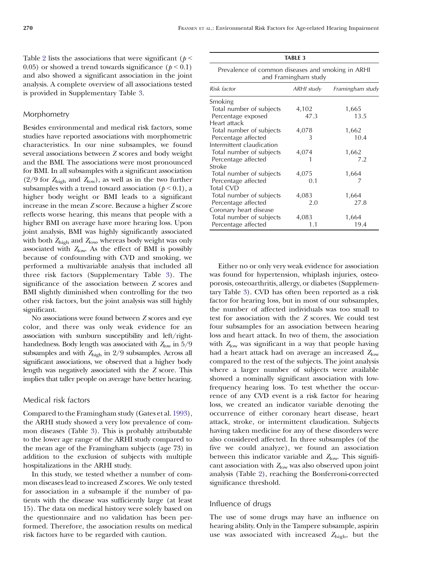Table [2](#page-5-0) lists the associations that were significant ( $p <$ 0.05) or showed a trend towards significance ( $p < 0.1$ ) and also showed a significant association in the joint analysis. A complete overview of all associations tested is provided in Supplementary Table 3.

## Morphometry

Besides environmental and medical risk factors, some studies have reported associations with morphometric characteristics. In our nine subsamples, we found several associations between Z scores and body weight and the BMI. The associations were most pronounced for BMI. In all subsamples with a significant association  $(2/9$  for  $Z_{\text{high}}$  and  $Z_{\text{low}}$ , as well as in the two further subsamples with a trend toward association ( $p < 0.1$ ), a higher body weight or BMI leads to a significant increase in the mean Z score. Because a higher Z score reflects worse hearing, this means that people with a higher BMI on average have more hearing loss. Upon joint analysis, BMI was highly significantly associated with both  $Z_{\text{high}}$  and  $Z_{\text{low}}$  whereas body weight was only associated with  $Z_{\text{low}}$ . As the effect of BMI is possibly because of confounding with CVD and smoking, we performed a multivariable analysis that included all three risk factors (Supplementary Table 3). The significance of the association between Z scores and BMI slightly diminished when controlling for the two other risk factors, but the joint analysis was still highly significant.

No associations were found between Z scores and eye color, and there was only weak evidence for an association with sunburn susceptibility and left/righthandedness. Body length was associated with  $Z_{\text{low}}$  in  $5/9$ subsamples and with  $Z_{\text{high}}$  in  $2/9$  subsamples. Across all significant associations, we observed that a higher body length was negatively associated with the Z score. This implies that taller people on average have better hearing.

# Medical risk factors

Compared to the Framingham study (Gates et al. [1993](#page-11-0)), the ARHI study showed a very low prevalence of common diseases (Table 3). This is probably attributable to the lower age range of the ARHI study compared to the mean age of the Framingham subjects (age 73) in addition to the exclusion of subjects with multiple hospitalizations in the ARHI study.

In this study, we tested whether a number of common diseases lead to increased Z scores. We only tested for association in a subsample if the number of patients with the disease was sufficiently large (at least 15). The data on medical history were solely based on the questionnaire and no validation has been performed. Therefore, the association results on medical risk factors have to be regarded with caution.

| <b>TABLE 3</b>                                                            |            |                  |  |  |  |  |  |
|---------------------------------------------------------------------------|------------|------------------|--|--|--|--|--|
| Prevalence of common diseases and smoking in ARHI<br>and Framingham study |            |                  |  |  |  |  |  |
| Risk factor                                                               | ARHI study | Framingham study |  |  |  |  |  |
| Smoking                                                                   |            |                  |  |  |  |  |  |
| Total number of subjects                                                  | 4,102      | 1,665            |  |  |  |  |  |
| Percentage exposed                                                        | 47.3       | 13.5             |  |  |  |  |  |
| Heart attack                                                              |            |                  |  |  |  |  |  |
| Total number of subjects                                                  | 4,078      | 1,662            |  |  |  |  |  |
| Percentage affected                                                       | 3          | 10.4             |  |  |  |  |  |
| Intermittent claudication                                                 |            |                  |  |  |  |  |  |
| Total number of subjects                                                  | 4,074      | 1,662            |  |  |  |  |  |
| Percentage affected                                                       | 1          | 7.2              |  |  |  |  |  |
| Stroke                                                                    |            |                  |  |  |  |  |  |
| Total number of subjects                                                  | 4,075      | 1,664            |  |  |  |  |  |
| Percentage affected                                                       | 0.1        | 7                |  |  |  |  |  |
| <b>Total CVD</b>                                                          |            |                  |  |  |  |  |  |
| Total number of subjects                                                  | 4,083      | 1,664            |  |  |  |  |  |
| Percentage affected                                                       | 2.0        | 27.8             |  |  |  |  |  |
| Coronary heart disease                                                    |            |                  |  |  |  |  |  |
| Total number of subjects                                                  | 4,083      | 1,664            |  |  |  |  |  |
| Percentage affected                                                       | 1.1        | 19.4             |  |  |  |  |  |

Either no or only very weak evidence for association was found for hypertension, whiplash injuries, osteoporosis, osteoarthritis, allergy, or diabetes (Supplementary Table 3). CVD has often been reported as a risk factor for hearing loss, but in most of our subsamples, the number of affected individuals was too small to test for association with the Z scores. We could test four subsamples for an association between hearing loss and heart attack. In two of them, the association with  $Z_{\text{low}}$  was significant in a way that people having had a heart attack had on average an increased  $Z_{\text{low}}$ compared to the rest of the subjects. The joint analysis where a larger number of subjects were available showed a nominally significant association with lowfrequency hearing loss. To test whether the occurrence of any CVD event is a risk factor for hearing loss, we created an indicator variable denoting the occurrence of either coronary heart disease, heart attack, stroke, or intermittent claudication. Subjects having taken medicine for any of these disorders were also considered affected. In three subsamples (of the five we could analyze), we found an association between this indicator variable and  $Z_{low}$ . This significant association with  $Z_{\text{low}}$  was also observed upon joint analysis (Table [2](#page-5-0)), reaching the Bonferroni-corrected significance threshold.

## Influence of drugs

The use of some drugs may have an influence on hearing ability. Only in the Tampere subsample, aspirin use was associated with increased  $Z_{\text{high}}$ , but the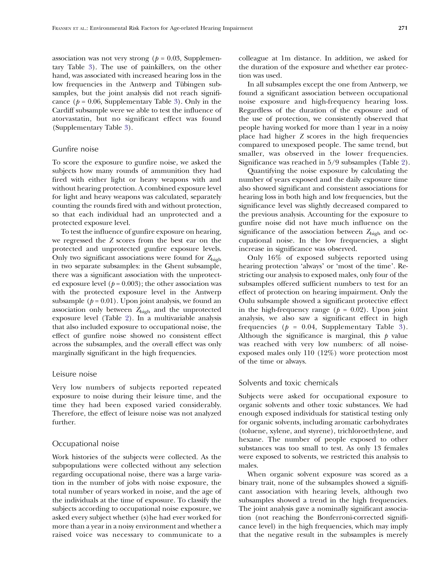association was not very strong ( $p = 0.03$ , Supplementary Table 3). The use of painkillers, on the other hand, was associated with increased hearing loss in the low frequencies in the Antwerp and Tübingen subsamples, but the joint analysis did not reach significance ( $p = 0.06$ , Supplementary Table 3). Only in the Cardiff subsample were we able to test the influence of atorvastatin, but no significant effect was found (Supplementary Table 3).

#### Gunfire noise

To score the exposure to gunfire noise, we asked the subjects how many rounds of ammunition they had fired with either light or heavy weapons with and without hearing protection. A combined exposure level for light and heavy weapons was calculated, separately counting the rounds fired with and without protection, so that each individual had an unprotected and a protected exposure level.

To test the influence of gunfire exposure on hearing, we regressed the Z scores from the best ear on the protected and unprotected gunfire exposure levels. Only two significant associations were found for  $Z_{\text{high}}$ in two separate subsamples: in the Ghent subsample, there was a significant association with the unprotected exposure level ( $p = 0.003$ ); the other association was with the protected exposure level in the Antwerp subsample ( $p = 0.01$ ). Upon joint analysis, we found an association only between  $Z_{\text{high}}$  and the unprotected exposure level (Table [2\)](#page-5-0). In a multivariable analysis that also included exposure to occupational noise, the effect of gunfire noise showed no consistent effect across the subsamples, and the overall effect was only marginally significant in the high frequencies.

#### Leisure noise

Very low numbers of subjects reported repeated exposure to noise during their leisure time, and the time they had been exposed varied considerably. Therefore, the effect of leisure noise was not analyzed further.

## Occupational noise

Work histories of the subjects were collected. As the subpopulations were collected without any selection regarding occupational noise, there was a large variation in the number of jobs with noise exposure, the total number of years worked in noise, and the age of the individuals at the time of exposure. To classify the subjects according to occupational noise exposure, we asked every subject whether (s)he had ever worked for more than a year in a noisy environment and whether a raised voice was necessary to communicate to a colleague at 1m distance. In addition, we asked for the duration of the exposure and whether ear protection was used.

In all subsamples except the one from Antwerp, we found a significant association between occupational noise exposure and high-frequency hearing loss. Regardless of the duration of the exposure and of the use of protection, we consistently observed that people having worked for more than 1 year in a noisy place had higher Z scores in the high frequencies compared to unexposed people. The same trend, but smaller, was observed in the lower frequencies. Significance was reached in 5/9 subsamples (Table [2](#page-5-0)).

Quantifying the noise exposure by calculating the number of years exposed and the daily exposure time also showed significant and consistent associations for hearing loss in both high and low frequencies, but the significance level was slightly decreased compared to the previous analysis. Accounting for the exposure to gunfire noise did not have much influence on the significance of the association between  $Z_{\text{high}}$  and occupational noise. In the low frequencies, a slight increase in significance was observed.

Only 16% of exposed subjects reported using hearing protection 'always' or 'most of the time'. Restricting our analysis to exposed males, only four of the subsamples offered sufficient numbers to test for an effect of protection on hearing impairment. Only the Oulu subsample showed a significant protective effect in the high-frequency range ( $p = 0.02$ ). Upon joint analysis, we also saw a significant effect in high frequencies ( $p = 0.04$ , Supplementary Table 3). Although the significance is marginal, this  $\hat{p}$  value was reached with very low numbers: of all noiseexposed males only 110 (12%) wore protection most of the time or always.

#### Solvents and toxic chemicals

Subjects were asked for occupational exposure to organic solvents and other toxic substances. We had enough exposed individuals for statistical testing only for organic solvents, including aromatic carbohydrates (toluene, xylene, and styrene), trichloroethylene, and hexane. The number of people exposed to other substances was too small to test. As only 13 females were exposed to solvents, we restricted this analysis to males.

When organic solvent exposure was scored as a binary trait, none of the subsamples showed a significant association with hearing levels, although two subsamples showed a trend in the high frequencies. The joint analysis gave a nominally significant association (not reaching the Bonferroni-corrected significance level) in the high frequencies, which may imply that the negative result in the subsamples is merely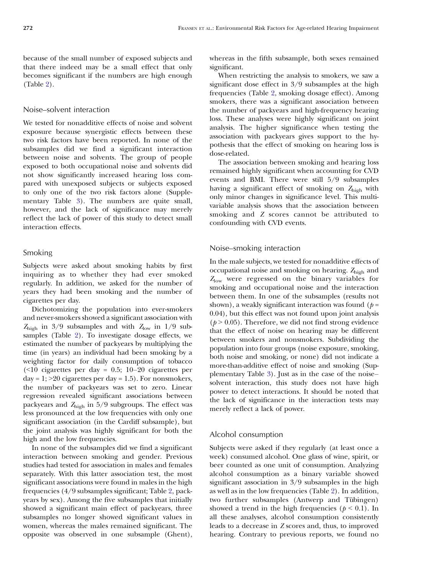because of the small number of exposed subjects and that there indeed may be a small effect that only becomes significant if the numbers are high enough (Table [2\)](#page-5-0).

# Noise–solvent interaction

We tested for nonadditive effects of noise and solvent exposure because synergistic effects between these two risk factors have been reported. In none of the subsamples did we find a significant interaction between noise and solvents. The group of people exposed to both occupational noise and solvents did not show significantly increased hearing loss compared with unexposed subjects or subjects exposed to only one of the two risk factors alone (Supplementary Table 3). The numbers are quite small, however, and the lack of significance may merely reflect the lack of power of this study to detect small interaction effects.

## Smoking

Subjects were asked about smoking habits by first inquiring as to whether they had ever smoked regularly. In addition, we asked for the number of years they had been smoking and the number of cigarettes per day.

Dichotomizing the population into ever-smokers and never-smokers showed a significant association with  $Z_{\text{high}}$  in 3/9 subsamples and with  $Z_{\text{low}}$  in 1/9 subsamples (Table [2](#page-5-0)). To investigate dosage effects, we estimated the number of packyears by multiplying the time (in years) an individual had been smoking by a weighting factor for daily consumption of tobacco ( $10$  cigarettes per day = 0.5; 10–20 cigarettes per  $day = 1$ ; >20 cigarettes per day = 1.5). For nonsmokers, the number of packyears was set to zero. Linear regression revealed significant associations between packyears and  $Z_{\text{high}}$  in 5/9 subgroups. The effect was less pronounced at the low frequencies with only one significant association (in the Cardiff subsample), but the joint analysis was highly significant for both the high and the low frequencies.

In none of the subsamples did we find a significant interaction between smoking and gender. Previous studies had tested for association in males and females separately. With this latter association test, the most significant associations were found in males in the high frequencies (4/9 subsamples significant; Table [2](#page-5-0), packyears by sex). Among the five subsamples that initially showed a significant main effect of packyears, three subsamples no longer showed significant values in women, whereas the males remained significant. The opposite was observed in one subsample (Ghent),

whereas in the fifth subsample, both sexes remained significant.

When restricting the analysis to smokers, we saw a significant dose effect in 3/9 subsamples at the high frequencies (Table [2,](#page-5-0) smoking dosage effect). Among smokers, there was a significant association between the number of packyears and high-frequency hearing loss. These analyses were highly significant on joint analysis. The higher significance when testing the association with packyears gives support to the hypothesis that the effect of smoking on hearing loss is dose-related.

The association between smoking and hearing loss remained highly significant when accounting for CVD events and BMI. There were still 5/9 subsamples having a significant effect of smoking on  $Z_{\text{high}}$  with only minor changes in significance level. This multivariable analysis shows that the association between smoking and Z scores cannot be attributed to confounding with CVD events.

#### Noise–smoking interaction

In the male subjects, we tested for nonadditive effects of occupational noise and smoking on hearing. Zhigh and  $Z_{\text{low}}$  were regressed on the binary variables for smoking and occupational noise and the interaction between them. In one of the subsamples (results not shown), a weakly significant interaction was found ( $p =$ 0.04), but this effect was not found upon joint analysis  $(p > 0.05)$ . Therefore, we did not find strong evidence that the effect of noise on hearing may be different between smokers and nonsmokers. Subdividing the population into four groups (noise exposure, smoking, both noise and smoking, or none) did not indicate a more-than-additive effect of noise and smoking (Supplementary Table 3). Just as in the case of the noise– solvent interaction, this study does not have high power to detect interactions. It should be noted that the lack of significance in the interaction tests may merely reflect a lack of power.

# Alcohol consumption

Subjects were asked if they regularly (at least once a week) consumed alcohol. One glass of wine, spirit, or beer counted as one unit of consumption. Analyzing alcohol consumption as a binary variable showed significant association in 3/9 subsamples in the high as well as in the low frequencies (Table [2](#page-5-0)). In addition, two further subsamples (Antwerp and Tübingen) showed a trend in the high frequencies ( $p < 0.1$ ). In all these analyses, alcohol consumption consistently leads to a decrease in Z scores and, thus, to improved hearing. Contrary to previous reports, we found no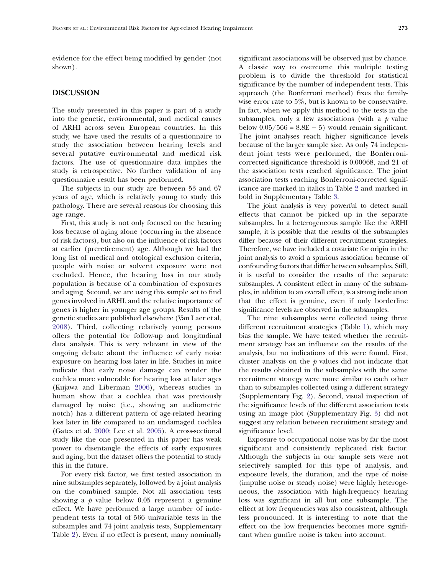evidence for the effect being modified by gender (not shown).

## **DISCUSSION**

The study presented in this paper is part of a study into the genetic, environmental, and medical causes of ARHI across seven European countries. In this study, we have used the results of a questionnaire to study the association between hearing levels and several putative environmental and medical risk factors. The use of questionnaire data implies the study is retrospective. No further validation of any questionnaire result has been performed.

The subjects in our study are between 53 and 67 years of age, which is relatively young to study this pathology. There are several reasons for choosing this age range.

First, this study is not only focused on the hearing loss because of aging alone (occurring in the absence of risk factors), but also on the influence of risk factors at earlier (preretirement) age. Although we had the long list of medical and otological exclusion criteria, people with noise or solvent exposure were not excluded. Hence, the hearing loss in our study population is because of a combination of exposures and aging. Second, we are using this sample set to find genes involved in ARHI, and the relative importance of genes is higher in younger age groups. Results of the genetic studies are published elsewhere (Van Laer et al. [2008\)](#page-12-0). Third, collecting relatively young persons offers the potential for follow-up and longitudinal data analysis. This is very relevant in view of the ongoing debate about the influence of early noise exposure on hearing loss later in life. Studies in mice indicate that early noise damage can render the cochlea more vulnerable for hearing loss at later ages (Kujawa and Liberman [2006](#page-12-0)), whereas studies in human show that a cochlea that was previously damaged by noise (i.e., showing an audiometric notch) has a different pattern of age-related hearing loss later in life compared to an undamaged cochlea (Gates et al. [2000](#page-11-0); Lee et al. [2005\)](#page-12-0). A cross-sectional study like the one presented in this paper has weak power to disentangle the effects of early exposures and aging, but the dataset offers the potential to study this in the future.

For every risk factor, we first tested association in nine subsamples separately, followed by a joint analysis on the combined sample. Not all association tests showing a  $\dot{p}$  value below 0.05 represent a genuine effect. We have performed a large number of independent tests (a total of 566 univariable tests in the subsamples and 74 joint analysis tests, Supplementary Table 2). Even if no effect is present, many nominally significant associations will be observed just by chance. A classic way to overcome this multiple testing problem is to divide the threshold for statistical significance by the number of independent tests. This approach (the Bonferroni method) fixes the familywise error rate to 5%, but is known to be conservative. In fact, when we apply this method to the tests in the subsamples, only a few associations (with a  $p$  value below 0.05/566 = 8.8E *−* 5) would remain significant. The joint analyses reach higher significance levels because of the larger sample size. As only 74 independent joint tests were performed, the Bonferronicorrected significance threshold is 0.00068, and 21 of the association tests reached significance. The joint association tests reaching Bonferroni-corrected significance are marked in italics in Table [2](#page-5-0) and marked in bold in Supplementary Table 3.

The joint analysis is very powerful to detect small effects that cannot be picked up in the separate subsamples. In a heterogeneous sample like the ARHI sample, it is possible that the results of the subsamples differ because of their different recruitment strategies. Therefore, we have included a covariate for origin in the joint analysis to avoid a spurious association because of confounding factors that differ between subsamples. Still, it is useful to consider the results of the separate subsamples. A consistent effect in many of the subsamples, in addition to an overall effect, is a strong indication that the effect is genuine, even if only borderline significance levels are observed in the subsamples.

The nine subsamples were collected using three different recruitment strategies (Table [1](#page-4-0)), which may bias the sample. We have tested whether the recruitment strategy has an influence on the results of the analysis, but no indications of this were found. First, cluster analysis on the  $\phi$  values did not indicate that the results obtained in the subsamples with the same recruitment strategy were more similar to each other than to subsamples collected using a different strategy (Supplementary Fig. 2). Second, visual inspection of the significance levels of the different association tests using an image plot (Supplementary Fig. 3) did not suggest any relation between recruitment strategy and significance level.

Exposure to occupational noise was by far the most significant and consistently replicated risk factor. Although the subjects in our sample sets were not selectively sampled for this type of analysis, and exposure levels, the duration, and the type of noise (impulse noise or steady noise) were highly heterogeneous, the association with high-frequency hearing loss was significant in all but one subsample. The effect at low frequencies was also consistent, although less pronounced. It is interesting to note that the effect on the low frequencies becomes more significant when gunfire noise is taken into account.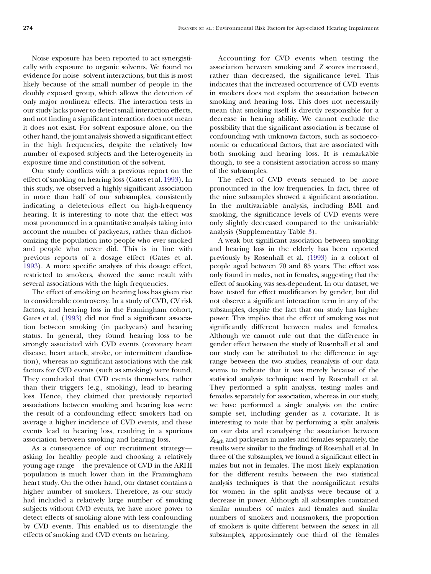Noise exposure has been reported to act synergistically with exposure to organic solvents. We found no evidence for noise–solvent interactions, but this is most likely because of the small number of people in the doubly exposed group, which allows the detection of only major nonlinear effects. The interaction tests in our study lacks power to detect small interaction effects, and not finding a significant interaction does not mean it does not exist. For solvent exposure alone, on the other hand, the joint analysis showed a significant effect in the high frequencies, despite the relatively low number of exposed subjects and the heterogeneity in exposure time and constitution of the solvent.

Our study conflicts with a previous report on the effect of smoking on hearing loss (Gates et al. [1993\)](#page-11-0). In this study, we observed a highly significant association in more than half of our subsamples, consistently indicating a deleterious effect on high-frequency hearing. It is interesting to note that the effect was most pronounced in a quantitative analysis taking into account the number of packyears, rather than dichotomizing the population into people who ever smoked and people who never did. This is in line with previous reports of a dosage effect (Gates et al. [1993](#page-11-0)). A more specific analysis of this dosage effect, restricted to smokers, showed the same result with several associations with the high frequencies.

The effect of smoking on hearing loss has given rise to considerable controversy. In a study of CVD, CV risk factors, and hearing loss in the Framingham cohort, Gates et al. ([1993](#page-11-0)) did not find a significant association between smoking (in packyears) and hearing status. In general, they found hearing loss to be strongly associated with CVD events (coronary heart disease, heart attack, stroke, or intermittent claudication), whereas no significant associations with the risk factors for CVD events (such as smoking) were found. They concluded that CVD events themselves, rather than their triggers (e.g., smoking), lead to hearing loss. Hence, they claimed that previously reported associations between smoking and hearing loss were the result of a confounding effect: smokers had on average a higher incidence of CVD events, and these events lead to hearing loss, resulting in a spurious association between smoking and hearing loss.

As a consequence of our recruitment strategy asking for healthy people and choosing a relatively young age range—the prevalence of CVD in the ARHI population is much lower than in the Framingham heart study. On the other hand, our dataset contains a higher number of smokers. Therefore, as our study had included a relatively large number of smoking subjects without CVD events, we have more power to detect effects of smoking alone with less confounding by CVD events. This enabled us to disentangle the effects of smoking and CVD events on hearing.

Accounting for CVD events when testing the association between smoking and Z scores increased, rather than decreased, the significance level. This indicates that the increased occurrence of CVD events in smokers does not explain the association between smoking and hearing loss. This does not necessarily mean that smoking itself is directly responsible for a decrease in hearing ability. We cannot exclude the possibility that the significant association is because of confounding with unknown factors, such as socioeconomic or educational factors, that are associated with both smoking and hearing loss. It is remarkable though, to see a consistent association across so many of the subsamples.

The effect of CVD events seemed to be more pronounced in the low frequencies. In fact, three of the nine subsamples showed a significant association. In the multivariable analysis, including BMI and smoking, the significance levels of CVD events were only slightly decreased compared to the univariable analysis (Supplementary Table 3).

A weak but significant association between smoking and hearing loss in the elderly has been reported previously by Rosenhall et al. [\(1993\)](#page-12-0) in a cohort of people aged between 70 and 85 years. The effect was only found in males, not in females, suggesting that the effect of smoking was sex-dependent. In our dataset, we have tested for effect modification by gender, but did not observe a significant interaction term in any of the subsamples, despite the fact that our study has higher power. This implies that the effect of smoking was not significantly different between males and females. Although we cannot rule out that the difference in gender effect between the study of Rosenhall et al. and our study can be attributed to the difference in age range between the two studies, reanalysis of our data seems to indicate that it was merely because of the statistical analysis technique used by Rosenhall et al. They performed a split analysis, testing males and females separately for association, whereas in our study, we have performed a single analysis on the entire sample set, including gender as a covariate. It is interesting to note that by performing a split analysis on our data and reanalysing the association between  $Z<sub>high</sub>$  and packyears in males and females separately, the results were similar to the findings of Rosenhall et al. In three of the subsamples, we found a significant effect in males but not in females. The most likely explanation for the different results between the two statistical analysis techniques is that the nonsignificant results for women in the split analysis were because of a decrease in power. Although all subsamples contained similar numbers of males and females and similar numbers of smokers and nonsmokers, the proportion of smokers is quite different between the sexes: in all subsamples, approximately one third of the females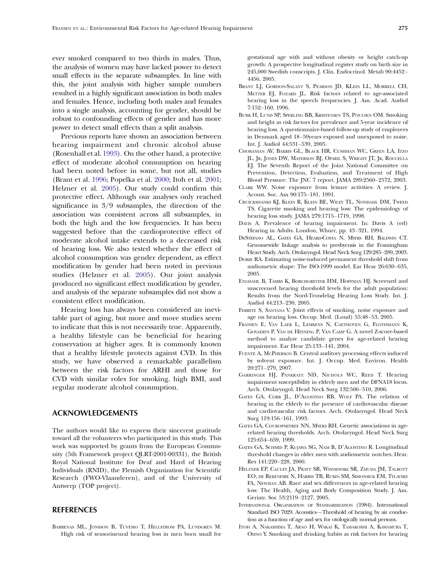<span id="page-11-0"></span>ever smoked compared to two thirds in males. Thus, the analysis of women may have lacked power to detect small effects in the separate subsamples. In line with this, the joint analysis with higher sample numbers resulted in a highly significant association in both males and females. Hence, including both males and females into a single analysis, accounting for gender, should be robust to confounding effects of gender and has more power to detect small effects than a split analysis.

Previous reports have shown an association between hearing impairment and chronic alcohol abuse (Rosenhall et al. [1993\)](#page-12-0). On the other hand, a protective effect of moderate alcohol consumption on hearing had been noted before in some, but not all, studies (Brant et al. 1996; Popelka et al. [2000;](#page-12-0) Itoh et al. 2001; Helzner et al. 2005). Our study could confirm this protective effect. Although our analyses only reached significance in 3/9 subsamples, the direction of the association was consistent across all subsamples, in both the high and the low frequencies. It has been suggested before that the cardioprotective effect of moderate alcohol intake extends to a decreased risk of hearing loss. We also tested whether the effect of alcohol consumption was gender dependent, as effect modification by gender had been noted in previous studies (Helzner et al. 2005). Our joint analysis produced no significant effect modification by gender, and analysis of the separate subsamples did not show a consistent effect modification.

Hearing loss has always been considered an inevitable part of aging, but more and more studies seem to indicate that this is not necessarily true. Apparently, a healthy lifestyle can be beneficial for hearing conservation at higher ages. It is commonly known that a healthy lifestyle protects against CVD. In this study, we have observed a remarkable parallelism between the risk factors for ARHI and those for CVD with similar roles for smoking, high BMI, and regular moderate alcohol consumption.

## ACKNOWLEDGEMENTS

The authors would like to express their sincerest gratitude toward all the volunteers who participated in this study. This work was supported by grants from the European Community (5th Framework project QLRT-2001-00331), the British Royal National Institute for Deaf and Hard of Hearing Individuals (RNID), the Flemish Organization for Scientific Research (FWO-Vlaanderen), and of the University of Antwerp (TOP project).

#### REFERENCES

BARRENAS ML, JONSSON B, TUVEMO T, HELLSTROM PA, LUNDGREN M. High risk of sensorineural hearing loss in men born small for gestational age with and without obesity or height catch-up growth: A prospective longitudinal register study on birth size in 245,000 Swedish conscripts. J. Clin. Endocrinol. Metab 90:4452– 4456, 2005.

- BRANT LJ, GORDON-SALANT S, PEARSON JD, KLEIN LL, MORRELL CH, METTER EJ, FOZARD JL. Risk factors related to age-associated hearing loss in the speech frequencies. J. Am. Acad. Audiol 7:152–160, 1996.
- BURR H, LUND SP, SPERLING BB, KRISTENSEN TS, POULSEN OM. Smoking and height as risk factors for prevalence and 5-year incidence of hearing loss. A questionnaire-based follow-up study of employees in Denmark aged 18–59years exposed and unexposed to noise. Int. J. Audiol 44:531–539, 2005.
- CHOBANIAN AV, BAKRIS GL, BLACK HR, CUSHMAN WC, GREEN LA, IZZO JL, JR, JONES DW, MATERSON BJ, OPARIL S, WRIGHT JT, JR, ROCCELLA EJ. The Seventh Report of the Joint National Committee on Prevention, Detection, Evaluation, and Treatment of High Blood Pressure: The JNC 7 report. JAMA 289:2560–2572, 2003.
- CLARK WW. Noise exposure from leisure activities: A review. J. Acoust. Soc. Am 90:175–181, 1991.
- CRUICKSHANKS KJ, KLEIN R, KLEIN BE, WILEY TL, NONDAHL DM, TWEED TS. Cigarette smoking and hearing loss: The epidemiology of hearing loss study. JAMA 279:1715–1719, 1998.
- DAVIS A. Prevalence of hearing impairment. In: Davis A (ed) Hearing in Adults. London, Whurr, pp. 43–321, 1994.
- DESTEFANO AL, GATES GA, HEARD-COSTA N, MYERS RH, BALDWIN CT. Genomewide linkage analysis to presbycusis in the Framingham Heart Study. Arch. Otolaryngol. Head Neck Surg 129:285–289, 2003.
- DOBIE RA. Estimating noise-induced permanent threshold shift from audiometric shape: The ISO-1999 model. Ear Hear 26:630–635, 2005.
- ENGDAHL B, TAMBS K, BORCHGREVINK HM, HOFFMAN HJ. Screened and unscreened hearing threshold levels for the adult population: Results from the Nord-Trondelag Hearing Loss Study. Int. J. Audiol 44:213–230, 2005.
- FERRITE S, SANTANA V. Joint effects of smoking, noise exposure and age on hearing loss. Occup. Med. (Lond) 55:48–53, 2005.
- FRANSEN E, VAN LAER L, LEMKENS N, CAETHOVEN G, FLOTHMANN K, GOVAERTS P, VAN DE HEYNING P, VAN CAMP G. A novel Z-score-based method to analyze candidate genes for age-related hearing impairment. Ear Hear 25:133–141, 2004.
- FUENTE A, MCPHERSON B. Central auditory processing effects induced by solvent exposure. Int. J. Occup. Med. Environ. Health 20:271–279, 2007.
- GARRINGER HJ, PANKRATZ ND, NICHOLS WC, REED T. Hearing impairment susceptibility in elderly men and the DFNA18 locus. Arch. Otolaryngol. Head Neck Surg 132:506–510, 2006.
- GATES GA, COBB JL, D'AGOSTINO RB, WOLF PA. The relation of hearing in the elderly to the presence of cardiovascular disease and cardiovascular risk factors. Arch. Otolaryngol. Head Neck Surg 119:156–161, 1993.
- GATES GA, COUROPMITREE NN, MYERS RH. Genetic associations in agerelated hearing thresholds. Arch. Otolaryngol. Head Neck Surg 125:654–659, 1999.
- GATES GA, SCHMID P, KUJAWA SG, NAM B, D'AGOSTINO R. Longitudinal threshold changes in older men with audiometric notches. Hear. Res 141:220–228, 2000.
- HELZNER EP, CAULEY JA, PRATT SR, WISNIEWSKI SR, ZMUDA JM, TALBOTT EO, DE REKENEIRE N, HARRIS TB, RUBIN SM, SIMONSICK EM, TYLAVSKY FA, NEWMAN AB. Race and sex differences in age-related hearing loss: The Health, Aging and Body Composition Study. J. Am. Geriatr. Soc 53:2119–2127, 2005.
- INTERNATIONAL ORGANISATION OF STANDARDIZATION (1984). International Standard ISO 7029. Acoustics—Threshold of hearing by air conduction as a function of age and sex for otologically normal persons.
- ITOH A, NAKASHIMA T, ARAO H, WAKAI K, TAMAKOSHI A, KAWAMURA T, OHNO Y. Smoking and drinking habits as risk factors for hearing